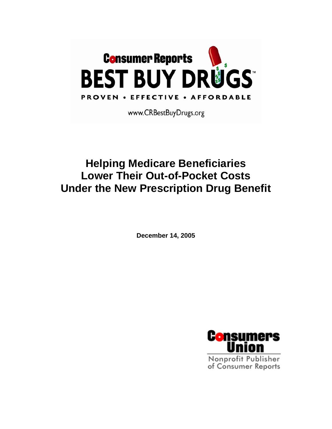

www.CRBestBuyDrugs.org

# **Helping Medicare Beneficiaries Lower Their Out-of-Pocket Costs Under the New Prescription Drug Benefit**

**December 14, 2005** 

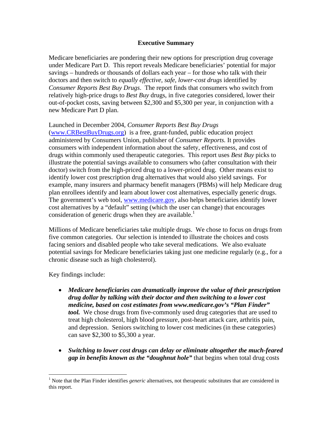#### **Executive Summary**

Medicare beneficiaries are pondering their new options for prescription drug coverage under Medicare Part D. This report reveals Medicare beneficiaries' potential for major savings – hundreds or thousands of dollars each year – for those who talk with their doctors and then switch to *equally effective, safe, lower-cost drugs* identified by *Consumer Reports Best Buy Drugs*. The report finds that consumers who switch from relatively high-price drugs to *Best Buy* drugs, in five categories considered, lower their out-of-pocket costs, saving between \$2,300 and \$5,300 per year, in conjunction with a new Medicare Part D plan.

Launched in December 2004, *Consumer Reports Best Buy Drugs* 

(www.CRBestBuyDrugs.org) is a free, grant-funded, public education project administered by Consumers Union, publisher of *Consumer Reports.* It provides consumers with independent information about the safety, effectiveness, and cost of drugs within commonly used therapeutic categories. This report uses *Best Buy* picks to illustrate the potential savings available to consumers who (after consultation with their doctor) switch from the high-priced drug to a lower-priced drug. Other means exist to identify lower cost prescription drug alternatives that would also yield savings. For example, many insurers and pharmacy benefit managers (PBMs) will help Medicare drug plan enrollees identify and learn about lower cost alternatives, especially generic drugs. The government's web tool, www.medicare.gov, also helps beneficiaries identify lower cost alternatives by a "default" setting (which the user can change) that encourages consideration of generic drugs when they are available.<sup>1</sup>

Millions of Medicare beneficiaries take multiple drugs. We chose to focus on drugs from five common categories. Our selection is intended to illustrate the choices and costs facing seniors and disabled people who take several medications. We also evaluate potential savings for Medicare beneficiaries taking just one medicine regularly (e.g., for a chronic disease such as high cholesterol).

Key findings include:

 $\overline{a}$ 

- *Medicare beneficiaries can dramatically improve the value of their prescription drug dollar by talking with their doctor and then switching to a lower cost medicine, based on cost estimates from www.medicare.gov's "Plan Finder" tool.*We chose drugs from five-commonly used drug categories that are used to treat high cholesterol, high blood pressure, post-heart attack care, arthritis pain, and depression. Seniors switching to lower cost medicines (in these categories) can save \$2,300 to \$5,300 a year.
- *Switching to lower cost drugs can delay or eliminate altogether the much-feared gap in benefits known as the "doughnut hole"* that begins when total drug costs

<sup>&</sup>lt;sup>1</sup> Note that the Plan Finder identifies *generic* alternatives, not therapeutic substitutes that are considered in this report.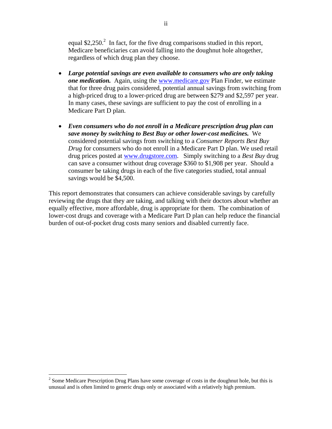equal  $$2,250$ .<sup>2</sup> In fact, for the five drug comparisons studied in this report, Medicare beneficiaries can avoid falling into the doughnut hole altogether, regardless of which drug plan they choose.

- *Large potential savings are even available to consumers who are only taking one medication.* Again, using the www.medicare.gov Plan Finder, we estimate that for three drug pairs considered, potential annual savings from switching from a high-priced drug to a lower-priced drug are between \$279 and \$2,597 per year. In many cases, these savings are sufficient to pay the cost of enrolling in a Medicare Part D plan.
- *Even consumers who do not enroll in a Medicare prescription drug plan can save money by switching to Best Buy or other lower-cost medicines.* We considered potential savings from switching to a *Consumer Reports Best Buy Drug* for consumers who do not enroll in a Medicare Part D plan. We used retail drug prices posted at www.drugstore.com. Simply switching to a *Best Buy* drug can save a consumer without drug coverage \$360 to \$1,908 per year. Should a consumer be taking drugs in each of the five categories studied, total annual savings would be \$4,500.

This report demonstrates that consumers can achieve considerable savings by carefully reviewing the drugs that they are taking, and talking with their doctors about whether an equally effective, more affordable, drug is appropriate for them. The combination of lower-cost drugs and coverage with a Medicare Part D plan can help reduce the financial burden of out-of-pocket drug costs many seniors and disabled currently face.

1

 $2^{2}$  Some Medicare Prescription Drug Plans have some coverage of costs in the doughnut hole, but this is unusual and is often limited to generic drugs only or associated with a relatively high premium.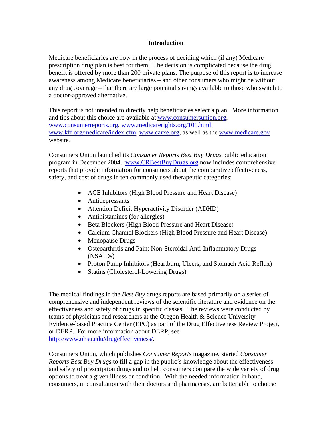### **Introduction**

Medicare beneficiaries are now in the process of deciding which (if any) Medicare prescription drug plan is best for them. The decision is complicated because the drug benefit is offered by more than 200 private plans. The purpose of this report is to increase awareness among Medicare beneficiaries – and other consumers who might be without any drug coverage – that there are large potential savings available to those who switch to a doctor-approved alternative.

This report is not intended to directly help beneficiaries select a plan. More information and tips about this choice are available at www.consumersunion.org, www.consumerreports.org, www.medicarerights.org/101.html, www.kff.org/medicare/index.cfm, www.carxe.org, as well as the www.medicare.gov website.

Consumers Union launched its *Consumer Reports Best Buy Drugs* public education program in December 2004. www.CRBestBuyDrugs.org now includes comprehensive reports that provide information for consumers about the comparative effectiveness, safety, and cost of drugs in ten commonly used therapeutic categories:

- ACE Inhibitors (High Blood Pressure and Heart Disease)
- Antidepressants
- Attention Deficit Hyperactivity Disorder (ADHD)
- Antihistamines (for allergies)
- Beta Blockers (High Blood Pressure and Heart Disease)
- Calcium Channel Blockers (High Blood Pressure and Heart Disease)
- Menopause Drugs
- Osteoarthritis and Pain: Non-Steroidal Anti-Inflammatory Drugs (NSAIDs)
- Proton Pump Inhibitors (Heartburn, Ulcers, and Stomach Acid Reflux)
- Statins (Cholesterol-Lowering Drugs)

The medical findings in the *Best Buy* drugs reports are based primarily on a series of comprehensive and independent reviews of the scientific literature and evidence on the effectiveness and safety of drugs in specific classes. The reviews were conducted by teams of physicians and researchers at the Oregon Health & Science University Evidence-based Practice Center (EPC) as part of the Drug Effectiveness Review Project, or DERP. For more information about DERP, see http://www.ohsu.edu/drugeffectiveness/.

Consumers Union, which publishes *Consumer Reports* magazine, started *Consumer Reports Best Buy Drugs* to fill a gap in the public's knowledge about the effectiveness and safety of prescription drugs and to help consumers compare the wide variety of drug options to treat a given illness or condition. With the needed information in hand, consumers, in consultation with their doctors and pharmacists, are better able to choose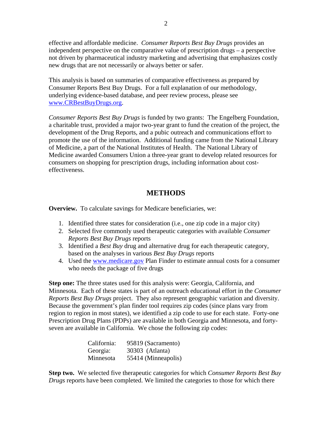effective and affordable medicine. *Consumer Reports Best Buy Drugs* provides an independent perspective on the comparative value of prescription drugs – a perspective not driven by pharmaceutical industry marketing and advertising that emphasizes costly new drugs that are not necessarily or always better or safer.

This analysis is based on summaries of comparative effectiveness as prepared by Consumer Reports Best Buy Drugs. For a full explanation of our methodology, underlying evidence-based database, and peer review process, please see www.CRBestBuyDrugs.org.

*Consumer Reports Best Buy Drugs* is funded by two grants: The Engelberg Foundation, a charitable trust, provided a major two-year grant to fund the creation of the project, the development of the Drug Reports, and a pubic outreach and communications effort to promote the use of the information. Additional funding came from the National Library of Medicine, a part of the National Institutes of Health. The National Library of Medicine awarded Consumers Union a three-year grant to develop related resources for consumers on shopping for prescription drugs, including information about costeffectiveness.

# **METHODS**

**Overview.** To calculate savings for Medicare beneficiaries, we:

- 1. Identified three states for consideration (i.e., one zip code in a major city)
- 2. Selected five commonly used therapeutic categories with available *Consumer Reports Best Buy Drugs* reports
- 3. Identified a *Best Buy* drug and alternative drug for each therapeutic category, based on the analyses in various *Best Buy Drugs* reports
- 4. Used the www.medicare.gov Plan Finder to estimate annual costs for a consumer who needs the package of five drugs

**Step one:** The three states used for this analysis were: Georgia, California, and Minnesota. Each of these states is part of an outreach educational effort in the *Consumer Reports Best Buy Drugs* project. They also represent geographic variation and diversity. Because the government's plan finder tool requires zip codes (since plans vary from region to region in most states), we identified a zip code to use for each state. Forty-one Prescription Drug Plans (PDPs) are available in both Georgia and Minnesota, and fortyseven are available in California. We chose the following zip codes:

| California: | 95819 (Sacramento)  |
|-------------|---------------------|
| Georgia:    | 30303 (Atlanta)     |
| Minnesota   | 55414 (Minneapolis) |

**Step two.** We selected five therapeutic categories for which *Consumer Reports Best Buy Drugs* reports have been completed. We limited the categories to those for which there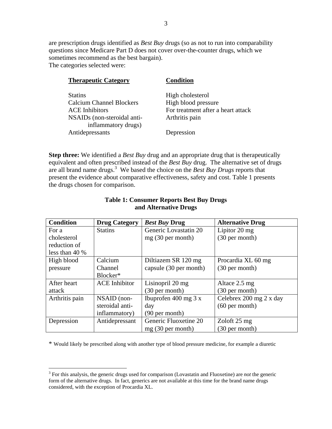are prescription drugs identified as *Best Buy* drugs (so as not to run into comparability questions since Medicare Part D does not cover over-the-counter drugs, which we sometimes recommend as the best bargain). The categories selected were:

| <b>Therapeutic Category</b>                        | <b>Condition</b>                   |
|----------------------------------------------------|------------------------------------|
| <b>Statins</b>                                     | High cholesterol                   |
| <b>Calcium Channel Blockers</b>                    | High blood pressure                |
| <b>ACE</b> Inhibitors                              | For treatment after a heart attack |
| NSAIDs (non-steroidal anti-<br>inflammatory drugs) | Arthritis pain                     |
| Antidepressants                                    | Depression                         |

**Step three:** We identified a *Best Buy* drug and an appropriate drug that is therapeutically equivalent and often prescribed instead of the *Best Buy* drug. The alternative set of drugs are all brand name drugs.3 We based the choice on the *Best Buy Drugs* reports that present the evidence about comparative effectiveness, safety and cost. Table 1 presents the drugs chosen for comparison.

| <b>Condition</b> | <b>Drug Category</b> | <b>Best Buy Drug</b>                    | <b>Alternative Drug</b>  |
|------------------|----------------------|-----------------------------------------|--------------------------|
| For a            | <b>Statins</b>       | Generic Lovastatin 20                   | Lipitor 20 mg            |
| cholesterol      |                      | $mg(30 \text{ per month})$              | (30 per month)           |
| reduction of     |                      |                                         |                          |
| less than $40%$  |                      |                                         |                          |
| High blood       | Calcium              | Diltiazem SR 120 mg                     | Procardia XL 60 mg       |
| pressure         | Channel              | capsule (30 per month)                  | $(30 \text{ per month})$ |
|                  | Blocker*             |                                         |                          |
| After heart      | <b>ACE</b> Inhibitor | Lisinopril 20 mg                        | Altace 2.5 mg            |
| attack           |                      | $(30 \text{ per month})$                | $(30 \text{ per month})$ |
| Arthritis pain   | NSAID (non-          | Ibuprofen $400 \text{ mg } 3 \text{ x}$ | Celebrex 200 mg 2 x day  |
|                  | steroidal anti-      | day                                     | $(60 \text{ per month})$ |
|                  | inflammatory)        | $(90 \text{ per month})$                |                          |
| Depression       | Antidepressant       | Generic Fluoxetine 20                   | Zoloft 25 mg             |
|                  |                      | $mg(30 \text{ per month})$              | $(30$ per month)         |

# **Table 1: Consumer Reports Best Buy Drugs and Alternative Drugs**

\* Would likely be prescribed along with another type of blood pressure medicine, for example a diuretic

1

<sup>3</sup> For this analysis, the generic drugs used for comparison (Lovastatin and Fluoxetine) are *not* the generic form of the alternative drugs. In fact, generics are not available at this time for the brand name drugs considered, with the exception of Procardia XL.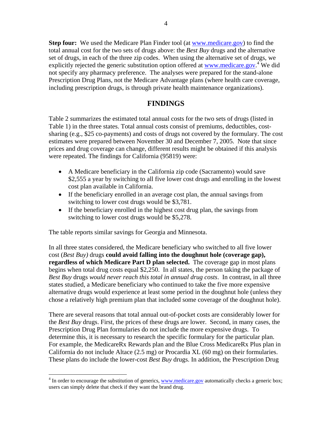**Step four:** We used the Medicare Plan Finder tool (at www.medicare.gov) to find the total annual cost for the two sets of drugs above: the *Best Buy* drugs and the alternative set of drugs, in each of the three zip codes. When using the alternative set of drugs, we explicitly rejected the generic substitution option offered at www.medicare.gov.<sup>4</sup> We did not specify any pharmacy preference. The analyses were prepared for the stand-alone Prescription Drug Plans, not the Medicare Advantage plans (where health care coverage, including prescription drugs, is through private health maintenance organizations).

# **FINDINGS**

Table 2 summarizes the estimated total annual costs for the two sets of drugs (listed in Table 1) in the three states. Total annual costs consist of premiums, deductibles, costsharing (e.g., \$25 co-payments) and costs of drugs not covered by the formulary. The cost estimates were prepared between November 30 and December 7, 2005. Note that since prices and drug coverage can change, different results might be obtained if this analysis were repeated. The findings for California (95819) were:

- A Medicare beneficiary in the California zip code (Sacramento) would save \$2,555 a year by switching to all five lower cost drugs and enrolling in the lowest cost plan available in California.
- If the beneficiary enrolled in an average cost plan, the annual savings from switching to lower cost drugs would be \$3,781.
- If the beneficiary enrolled in the highest cost drug plan, the savings from switching to lower cost drugs would be \$5,278.

The table reports similar savings for Georgia and Minnesota.

 $\overline{a}$ 

In all three states considered, the Medicare beneficiary who switched to all five lower cost (*Best Buy)* drugs **could avoid falling into the doughnut hole (coverage gap), regardless of which Medicare Part D plan selected.** The coverage gap in most plans begins when total drug costs equal \$2,250. In all states, the person taking the package of *Best Buy* drugs *would never reach this total in annual drug costs*. In contrast, in all three states studied, a Medicare beneficiary who continued to take the five more expensive alternative drugs would experience at least some period in the doughnut hole (unless they chose a relatively high premium plan that included some coverage of the doughnut hole).

There are several reasons that total annual out-of-pocket costs are considerably lower for the *Best Buy* drugs. First, the prices of these drugs are lower. Second, in many cases, the Prescription Drug Plan formularies do not include the more expensive drugs. To determine this, it is necessary to research the specific formulary for the particular plan. For example, the MedicareRx Rewards plan and the Blue Cross MedicareRx Plus plan in California do not include Altace (2.5 mg) or Procardia XL (60 mg) on their formularies. These plans do include the lower-cost *Best Buy* drugs. In addition, the Prescription Drug

 $4 \text{ In order to encourage the substitution of generics, [www.medicare.gov](https://www.medicare.gov) automatically checks a generic box;$ users can simply delete that check if they want the brand drug.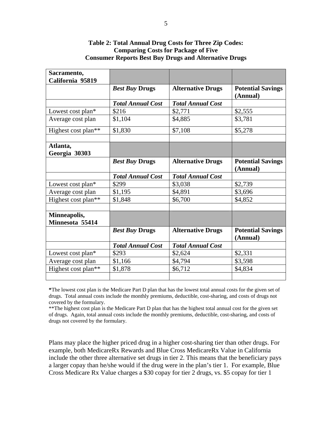| Sacramento,               |                          |                          |                                      |
|---------------------------|--------------------------|--------------------------|--------------------------------------|
| California 95819          |                          |                          |                                      |
|                           | <b>Best Buy Drugs</b>    | <b>Alternative Drugs</b> | <b>Potential Savings</b><br>(Annual) |
|                           | <b>Total Annual Cost</b> | <b>Total Annual Cost</b> |                                      |
| Lowest cost plan*         | \$216                    | \$2,771                  | \$2,555                              |
| Average cost plan         | \$1,104                  | \$4,885                  | \$3,781                              |
| Highest cost plan**       | \$1,830                  | \$7,108                  | \$5,278                              |
|                           |                          |                          |                                      |
| Atlanta,<br>Georgia 30303 |                          |                          |                                      |
|                           | <b>Best Buy Drugs</b>    | <b>Alternative Drugs</b> | <b>Potential Savings</b>             |
|                           |                          |                          | (Annual)                             |
|                           | <b>Total Annual Cost</b> | <b>Total Annual Cost</b> |                                      |
|                           |                          |                          |                                      |
| Lowest cost plan*         | \$299                    | \$3,038                  | \$2,739                              |
| Average cost plan         | \$1,195                  | \$4,891                  | \$3,696                              |
| Highest cost plan**       | \$1,848                  | \$6,700                  | \$4,852                              |
|                           |                          |                          |                                      |
| Minneapolis,              |                          |                          |                                      |
| Minnesota 55414           |                          |                          |                                      |
|                           | <b>Best Buy Drugs</b>    | <b>Alternative Drugs</b> | <b>Potential Savings</b>             |
|                           | <b>Total Annual Cost</b> | <b>Total Annual Cost</b> | (Annual)                             |
| Lowest cost plan*         | \$293                    | \$2,624                  | \$2,331                              |
| Average cost plan         | \$1,166                  | \$4,794                  | \$3,598                              |
| Highest cost plan**       | \$1,878                  | \$6,712                  | \$4,834                              |

**Table 2: Total Annual Drug Costs for Three Zip Codes: Comparing Costs for Package of Five Consumer Reports Best Buy Drugs and Alternative Drugs** 

**\***The lowest cost plan is the Medicare Part D plan that has the lowest total annual costs for the given set of drugs. Total annual costs include the monthly premiums, deductible, cost-sharing, and costs of drugs not covered by the formulary.

\*\*The highest cost plan is the Medicare Part D plan that has the highest total annual cost for the given set of drugs. Again, total annual costs include the monthly premiums, deductible, cost-sharing, and costs of drugs not covered by the formulary.

Plans may place the higher priced drug in a higher cost-sharing tier than other drugs. For example, both MedicareRx Rewards and Blue Cross MedicareRx Value in California include the other three alternative set drugs in tier 2. This means that the beneficiary pays a larger copay than he/she would if the drug were in the plan's tier 1. For example, Blue Cross Medicare Rx Value charges a \$30 copay for tier 2 drugs, vs. \$5 copay for tier 1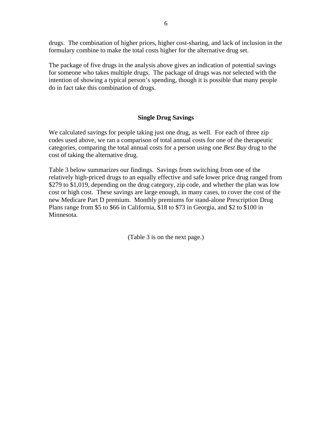drugs. The combination of higher prices, higher cost-sharing, and lack of inclusion in the formulary combine to make the total costs higher for the alternative drug set.

The package of five drugs in the analysis above gives an indication of potential savings for someone who takes multiple drugs. The package of drugs was *not* selected with the intention of showing a typical person's spending, though it is possible that many people do in fact take this combination of drugs.

## **Single Drug Savings**

We calculated savings for people taking just one drug, as well. For each of three zip codes used above, we ran a comparison of total annual costs for one of the therapeutic categories, comparing the total annual costs for a person using one *Best Buy* drug to the cost of taking the alternative drug.

Table 3 below summarizes our findings. Savings from switching from one of the relatively high-priced drugs to an equally effective and safe lower price drug ranged from \$279 to \$1,019, depending on the drug category, zip code, and whether the plan was low cost or high cost. These savings are large enough, in many cases, to cover the cost of the new Medicare Part D premium. Monthly premiums for stand-alone Prescription Drug Plans range from \$5 to \$66 in California, \$18 to \$73 in Georgia, and \$2 to \$100 in Minnesota.

(Table 3 is on the next page.)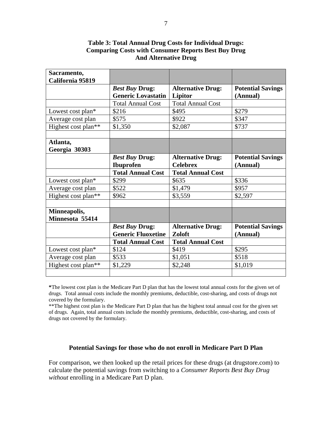| Sacramento,                |                           |                          |                          |
|----------------------------|---------------------------|--------------------------|--------------------------|
| California 95819           |                           |                          |                          |
|                            | <b>Best Buy Drug:</b>     | <b>Alternative Drug:</b> | <b>Potential Savings</b> |
|                            | <b>Generic Lovastatin</b> | Lipitor                  | (Annual)                 |
|                            | <b>Total Annual Cost</b>  | <b>Total Annual Cost</b> |                          |
| Lowest cost plan*          | \$216                     | \$495                    | \$279                    |
| Average cost plan          | \$575                     | \$922                    | \$347                    |
| Highest cost plan**        | \$1,350                   | \$2,087                  | \$737                    |
|                            |                           |                          |                          |
| Atlanta,                   |                           |                          |                          |
| Georgia 30303              |                           |                          |                          |
|                            | <b>Best Buy Drug:</b>     | <b>Alternative Drug:</b> | <b>Potential Savings</b> |
|                            | <b>Ibuprofen</b>          | <b>Celebrex</b>          | (Annual)                 |
|                            | <b>Total Annual Cost</b>  | <b>Total Annual Cost</b> |                          |
| \$299<br>Lowest cost plan* |                           | \$635                    | \$336                    |
| \$522<br>Average cost plan |                           | \$1,479                  | \$957                    |
| Highest cost plan**        | \$962                     | \$3,559                  | \$2,597                  |
|                            |                           |                          |                          |
| Minneapolis,               |                           |                          |                          |
| Minnesota 55414            |                           |                          |                          |
|                            | <b>Best Buy Drug:</b>     | <b>Alternative Drug:</b> | <b>Potential Savings</b> |
|                            | <b>Generic Fluoxetine</b> | Zoloft                   | (Annual)                 |
|                            | <b>Total Annual Cost</b>  | <b>Total Annual Cost</b> |                          |
| Lowest cost plan*          | \$124                     | \$419                    | \$295                    |
| Average cost plan          | \$533                     | \$1,051                  | \$518                    |
| Highest cost plan**        | \$1,229                   | \$2,248                  | \$1,019                  |
|                            |                           |                          |                          |

## **Table 3: Total Annual Drug Costs for Individual Drugs: Comparing Costs with Consumer Reports Best Buy Drug And Alternative Drug**

**\***The lowest cost plan is the Medicare Part D plan that has the lowest total annual costs for the given set of drugs. Total annual costs include the monthly premiums, deductible, cost-sharing, and costs of drugs not covered by the formulary.

\*\*The highest cost plan is the Medicare Part D plan that has the highest total annual cost for the given set of drugs. Again, total annual costs include the monthly premiums, deductible, cost-sharing, and costs of drugs not covered by the formulary.

#### **Potential Savings for those who do not enroll in Medicare Part D Plan**

For comparison, we then looked up the retail prices for these drugs (at drugstore.com) to calculate the potential savings from switching to a *Consumer Reports Best Buy Drug without* enrolling in a Medicare Part D plan.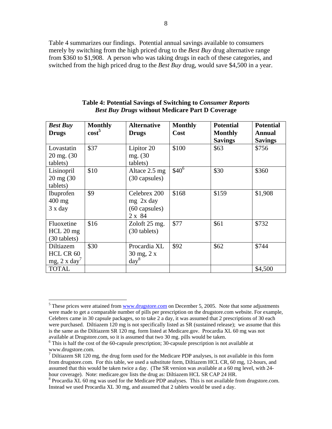Table 4 summarizes our findings. Potential annual savings available to consumers merely by switching from the high priced drug to the *Best Buy* drug alternative range from \$360 to \$1,908. A person who was taking drugs in each of these categories, and switched from the high priced drug to the *Best Buy* drug, would save \$4,500 in a year.

| <b>Best Buy</b><br><b>Drugs</b>                       | <b>Monthly</b><br>$\text{cost}^5$ | <b>Alternative</b><br><b>Drugs</b>                               | <b>Monthly</b><br>Cost | <b>Potential</b><br><b>Monthly</b><br><b>Savings</b> | <b>Potential</b><br><b>Annual</b><br><b>Savings</b> |
|-------------------------------------------------------|-----------------------------------|------------------------------------------------------------------|------------------------|------------------------------------------------------|-----------------------------------------------------|
| Lovastatin<br>$20 \text{ mg.} (30)$<br>tablets)       | \$37                              | Lipitor 20<br>mg. (30)<br>tablets)                               | \$100                  | \$63                                                 | \$756                                               |
| Lisinopril<br>$20 \text{ mg } (30$<br>tablets)        | \$10                              | Altace 2.5 mg<br>(30 capsules)                                   | $\overline{$40^6}$     | \$30                                                 | \$360                                               |
| Ibuprofen<br>$400$ mg<br>$3x$ day                     | \$9                               | Celebrex 200<br>$mg$ 2x day<br>$(60 \text{ capsule})$<br>2 x 84  | \$168                  | \$159                                                | \$1,908                                             |
| Fluoxetine<br>$HCL$ 20 mg<br>(30 tablets)             | \$16                              | Zoloft 25 mg.<br>(30 tablets)                                    | \$77                   | \$61                                                 | \$732                                               |
| Diltiazem<br>HCL CR 60<br>$mg$ , 2 x day <sup>7</sup> | \$30                              | Procardia XL<br>$30 \text{ mg}, 2 \text{ x}$<br>day <sup>8</sup> | \$92                   | \$62                                                 | \$744                                               |
| <b>TOTAL</b>                                          |                                   |                                                                  |                        |                                                      | \$4,500                                             |

#### **Table 4: Potential Savings of Switching to** *Consumer Reports Best Buy Drugs* **without Medicare Part D Coverage**

 $\overline{a}$ 

<sup>&</sup>lt;sup>5</sup> These prices were attained from **www.drugstore.com** on December 5, 2005. Note that some adjustments were made to get a comparable number of pills per prescription on the drugstore.com website. For example, Celebrex came in 30 capsule packages, so to take 2 a day, it was assumed that 2 prescriptions of 30 each were purchased. Diltiazem 120 mg is not specifically listed as SR (sustained release); we assume that this is the same as the Diltiazem SR 120 mg. form listed at Medicare.gov. Procardia XL 60 mg was not available at Drugstore.com, so it is assumed that two 30 mg. pills would be taken.

<sup>&</sup>lt;sup>6</sup> This is half the cost of the 60-capsule prescription; 30-capsule prescription is not available at www.drugstore.com.

 $<sup>7</sup>$  Diltiazem SR 120 mg, the drug form used for the Medicare PDP analyses, is not available in this form</sup> from drugstore.com. For this table, we used a substitute form, Diltiazem HCL CR, 60 mg, 12-hours, and assumed that this would be taken twice a day. (The SR version was available at a 60 mg level, with 24 hour coverage). Note: medicare.gov lists the drug as: Diltiazem HCL SR CAP 24 HR.

 $8$  Procardia XL 60 mg was used for the Medicare PDP analyses. This is not available from drugstore.com. Instead we used Procardia XL 30 mg, and assumed that 2 tablets would be used a day.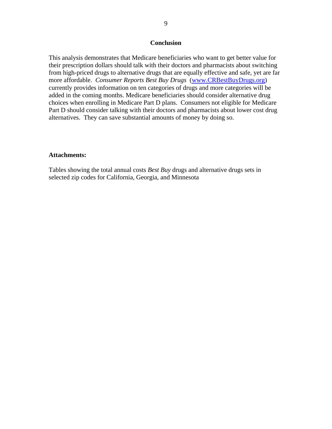#### **Conclusion**

This analysis demonstrates that Medicare beneficiaries who want to get better value for their prescription dollars should talk with their doctors and pharmacists about switching from high-priced drugs to alternative drugs that are equally effective and safe, yet are far more affordable. *Consumer Reports Best Buy Drugs* (www.CRBestBuyDrugs.org) currently provides information on ten categories of drugs and more categories will be added in the coming months. Medicare beneficiaries should consider alternative drug choices when enrolling in Medicare Part D plans. Consumers not eligible for Medicare Part D should consider talking with their doctors and pharmacists about lower cost drug alternatives. They can save substantial amounts of money by doing so.

#### **Attachments:**

Tables showing the total annual costs *Best Buy* drugs and alternative drugs sets in selected zip codes for California, Georgia, and Minnesota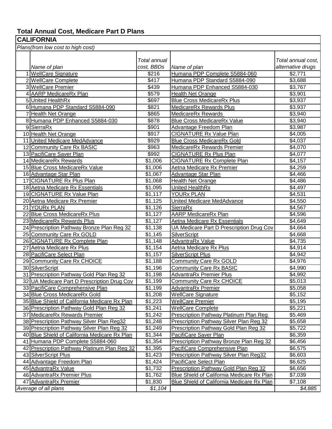# **Total Annual Cost, Medicare Part D Plans**

#### **CALIFORNIA**

*Plans(from low cost to high cost)*

| Plans(from low cost to high cost)             |                     |                                                                |                    |
|-----------------------------------------------|---------------------|----------------------------------------------------------------|--------------------|
|                                               |                     |                                                                |                    |
|                                               | Total annual        |                                                                | Total annual cost, |
| Name of plan                                  | cost, BBDs          | Name of plan                                                   | alternative drugs  |
| 1 WellCare Signature<br>2 WellCare Complete   | \$216<br>\$417      | Humana PDP Complete S5884-060<br>Humana PDP Standard S5884-090 | \$2,771            |
| 3 WellCare Premier                            | \$439               | Humana PDP Enhanced S5884-030                                  | \$3,688<br>\$3,767 |
|                                               | \$579               |                                                                |                    |
| 4 AARP MedicareRx Plan<br>5 United HealthRx   |                     | <b>Health Net Orange</b>                                       | \$3,901            |
|                                               | \$697               | <b>Blue Cross MedicareRx Plus</b>                              | \$3,937            |
| 6 Humana PDP Standard S5884-090               | \$821               | <b>MedicareRx Rewards Plus</b>                                 | \$3,937            |
| 7 Health Net Orange                           | \$865               | <b>MedicareRx Rewards</b>                                      | \$3,940            |
| 8 Humana PDP Enhanced S5884-030               | \$878               | <b>Blue Cross MedicareRx Value</b>                             | \$3,940            |
| 9SierraRx                                     | \$901               | Advantage Freedom Plan                                         | \$3,987            |
| 10 Health Net Orange                          | \$917               | <b>CIGNATURE Rx Value Plan</b>                                 | \$4,005            |
| 11 United Medicare MedAdvance                 | \$929               | <b>Blue Cross MedicareRx Gold</b>                              | \$4,037            |
| 12 Community Care Rx BASIC                    | \$963               | <b>MedicareRx Rewards Premier</b>                              | \$4,070            |
| 13 PacifiCare Saver Plan                      | \$992               | <b>CIGNATURE Rx Plus Plan</b>                                  | \$4,077            |
| 14 MedicareRx Rewards                         | \$1,006             | <b>CIGNATURE Rx Complete Plan</b>                              | \$4,157            |
| 15 Blue Cross MedicareRx Value                | \$1,006             | <b>Aetna Medicare Rx Premier</b>                               | \$4,259            |
| 16 Advantage Star Plan                        | \$1,067             | Advantage Star Plan                                            | \$4,466            |
| 17 CIGNATURE Rx Plus Plan                     | \$1,068             | <b>Health Net Orange</b>                                       | \$4,486            |
| 18 Aetna Medicare Rx Essentials               | \$1,095             | United HealthRx                                                | \$4,497            |
| 19 CIGNATURE Rx Value Plan                    | \$1,117             | <b>YOURx PLAN</b>                                              | \$4,531            |
| 20 Aetna Medicare Rx Premier                  | \$1,125             | United Medicare MedAdvance                                     | \$4,550            |
| 21 YOURx PLAN                                 | \$1,126             | SierraRx                                                       | \$4,567            |
| 22 Blue Cross MedicareRx Plus                 | \$1,127             | <b>AARP MedicareRx Plan</b>                                    | \$4,596            |
| 23 MedicareRx Rewards Plus                    | \$1,127             | <b>Aetna Medicare Rx Essentials</b>                            | \$4,649            |
| 24 Prescription Pathway Bronze Plan Reg 32    | $\overline{$}1,138$ | UA Medicare Part D Prescription Drug Cov                       | \$4,664            |
| 25 Community Care Rx GOLD                     | $\sqrt{$1,145}$     | SilverScript                                                   | \$4,668            |
| 26 CIGNATURE Rx Complete Plan                 | \$1,148             | AdvantraRx Value                                               | \$4,735            |
| 27 Aetna Medicare Rx Plus                     | \$1,154             | Aetna Medicare Rx Plus                                         | \$4,914            |
| 28 PacifiCare Select Plan                     | \$1,157             | <b>SilverScript Plus</b>                                       | \$4,942            |
| 29 Community Care Rx CHOICE                   | \$1,188             | <b>Community Care Rx GOLD</b>                                  | \$4,976            |
| 30 SilverScript                               | \$1,196             | <b>Community Care Rx BASIC</b>                                 | \$4,990            |
| 31 Prescription Pathway Gold Plan Reg 32      | \$1,198             | <b>AdvantraRx Premier Plus</b>                                 | \$4,992            |
| 32 UA Medicare Part D Prescription Drug Cov   | \$1,199             | <b>Community Care Rx CHOICE</b>                                | \$5,013            |
| 33 PacifiCare Comprehensive Plan              | \$1,199             | <b>AdvantraRx Premier</b>                                      | \$5,058            |
| 34 Blue Cross MedicareRx Gold                 | \$1,208             | <b>WellCare Signature</b>                                      | \$5,152            |
| 35 Blue Shield of California Medicare Rx Plan | \$1,223             | <b>WellCare Premier</b>                                        | \$5,195            |
| 36 Prescription Pathway Gold Plan Reg 32      | \$1,241             | <b>WellCare Complete</b>                                       | \$5,221            |
| 37 MedicareRx Rewards Premier                 | \$1,242             | <b>Prescription Pathway Platinum Plan Reg</b>                  | \$5,469            |
| 38 Prescription Pathway Silver Plan Reg32     | \$1,248             | Prescription Pathway Silver Plan Reg 32                        | \$5,658            |
| 39 Prescription Pathway Silver Plan Reg 32    | \$1,249             | <b>Prescription Pathway Gold Plan Reg 32</b>                   | \$5,722            |
| 40 Blue Shield of California Medicare Rx Plan | \$1,344             | PacifiCare Saver Plan                                          | \$6,359            |
| 41 Humana PDP Complete S5884-060              | \$1,354             | Prescription Pathway Bronze Plan Reg 32                        | \$6,456            |
| 42 Prescription Pathway Platinum Plan Reg 32  | \$1,395             | PacifiCare Comprehensive Plan                                  | \$6,575            |
| 43 SilverScript Plus                          | \$1,423             | <b>Prescription Pathway Silver Plan Reg32</b>                  | \$6,603            |
| 44 Advantage Freedom Plan                     | \$1,424             | PacifiCare Select Plan                                         | \$6,625            |
| 45 AdvantraRx Value                           | \$1,732             | <b>Prescription Pathway Gold Plan Reg 32</b>                   | \$6,656            |
| 46 AdvantraRx Premier Plus                    | \$1,762             | <b>Blue Shield of California Medicare Rx Plan</b>              | \$7,039            |
| 47 AdvantraRx Premier                         | \$1,830             | Blue Shield of California Medicare Rx Plan                     | \$7,108            |
| Average of all plans                          | \$1,104             |                                                                | \$4,885            |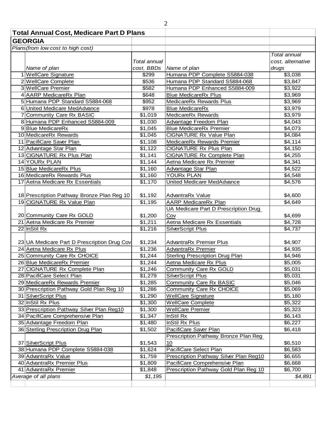| <b>Total Annual Cost, Medicare Part D Plans</b> |                                             |                   |                                        |                     |
|-------------------------------------------------|---------------------------------------------|-------------------|----------------------------------------|---------------------|
| <b>GEORGIA</b>                                  |                                             |                   |                                        |                     |
|                                                 | Plans(from low cost to high cost)           |                   |                                        |                     |
|                                                 |                                             |                   |                                        | Total annual        |
|                                                 |                                             | Total annual      |                                        | cost, alternative   |
| Name of plan                                    |                                             | cost, BBDs        | Name of plan                           | drugs               |
|                                                 | <b>WellCare Signature</b>                   | $\overline{$}299$ | Humana PDP Complete S5884-038          | \$3,038             |
|                                                 | 2 WellCare Complete                         | \$536             | Humana PDP Standard S5884-068          | \$3,847             |
| 3 WellCare Premier                              |                                             | \$582             | Humana PDP Enhanced S5884-009          | \$3,922             |
|                                                 | 4 AARP MedicareRx Plan                      | \$648             | <b>Blue MedicareRx Plus</b>            | \$3,969             |
|                                                 | 5 Humana PDP Standard S5884-068             | \$952             | MedicareRx Rewards Plus                | \$3,969             |
|                                                 | 6 United Medicare MedAdvance                | \$978             | <b>Blue MedicareRx</b>                 | \$3,979             |
|                                                 | Community Care Rx BASIC                     | \$1,019           | MedicareRx Rewards                     | \$3,979             |
|                                                 | 8 Humana PDP Enhanced S5884-009             | \$1,030           | Advantage Freedom Plan                 | \$4,043             |
| 9 Blue MedicareRx                               |                                             | \$1,045           | <b>Blue MedicareRx Premier</b>         | \$4,073             |
|                                                 | 10 MedicareRx Rewards                       | \$1,045           | <b>CIGNATURE Rx Value Plan</b>         | \$4,084             |
|                                                 | 11 PacifiCare Saver Plan                    | \$1,108           | MedicareRx Rewards Premier             | \$4,114             |
|                                                 | 12 Advantage Star Plan                      | \$1,122           | <b>CIGNATURE Rx Plus Plan</b>          | \$4,150             |
|                                                 | 13 CIGNATURE Rx Plus Plan                   | \$1,141           | <b>CIGNATURE Rx Complete Plan</b>      | \$4,255             |
| 14 YOURx PLAN                                   |                                             | \$1,144           | Aetna Medicare Rx Premier              | \$4,341             |
|                                                 | 15 Blue MedicareRx Plus                     | \$1,160           | Advantage Star Plan                    | \$4,522             |
|                                                 | 16 MedicareRx Rewards Plus                  | \$1,160           | YOURx PLAN                             | \$4,548             |
|                                                 | 17 Aetna Medicare Rx Essentials             | \$1,170           | United Medicare MedAdvance             | \$4,576             |
|                                                 |                                             |                   |                                        |                     |
|                                                 | 18 Prescription Pathway Bronze Plan Reg 10  | \$1,192           | <b>AdvantraRx Value</b>                | \$4,600             |
|                                                 | 19 CIGNATURE Rx Value Plan                  | \$1,195           | <b>AARP MedicareRx Plan</b>            | \$4,649             |
|                                                 |                                             |                   | UA Medicare Part D Prescription Drug   |                     |
|                                                 | 20 Community Care Rx GOLD                   | \$1,200           | Cov                                    | \$4,699             |
|                                                 | 21 Aetna Medicare Rx Premier                | \$1,211           | Aetna Medicare Rx Essentials           | \$4,728             |
| 22 InStil Rx                                    |                                             | \$1,216           | <b>SilverScript Plus</b>               | \$4,737             |
|                                                 |                                             |                   |                                        |                     |
|                                                 | 23 UA Medicare Part D Prescription Drug Cov | \$1,234           | <b>AdvantraRx Premier Plus</b>         | \$4,907             |
|                                                 | 24 Aetna Medicare Rx Plus                   | \$1,236           | <b>AdvantraRx Premier</b>              | \$4,935             |
|                                                 | 25 Community Care Rx CHOICE                 | \$1,244           | <b>Sterling Prescription Drug Plan</b> | \$4,946             |
|                                                 | 26 Blue MedicareRx Premier                  | \$1,244           | Aetna Medicare Rx Plus                 | \$5,005             |
|                                                 | 27 CIGNATURE Rx Complete Plan               | \$1,246           | Community Care Rx GOLD                 | $\overline{$}5,031$ |
|                                                 | 28 PacifiCare Select Plan                   | \$1,279           | <b>SilverScript Plus</b>               | \$5,031             |
|                                                 | 29 MedicareRx Rewards Premier               | \$1,285           | <b>Community Care Rx BASIC</b>         | \$5,046             |
|                                                 | 30 Prescription Pathway Gold Plan Reg 10    | \$1,286           | Community Care Rx CHOICE               | \$5,069             |
| 31<br>SilverScript Plus                         |                                             | \$1,290           | <b>WellCare Signature</b>              | $\overline{$}5,180$ |
| 32 InStil Rx Plus                               |                                             | \$1,300           | <b>WellCare Complete</b>               | \$5,322             |
|                                                 | 33 Prescription Pathway Silver Plan Reg10   | \$1,300           | <b>WellCare Premier</b>                | \$5,323             |
|                                                 | 34 PacifiCare Comprehensive Plan            | \$1,347           | <b>InStil Rx</b>                       | \$6,143             |
|                                                 | 35 Advantage Freedom Plan                   | \$1,480           | <b>InStil Rx Plus</b>                  | \$6,227             |
|                                                 | 36 Sterling Prescription Drug Plan          | \$1,502           | PacifiCare Saver Plan                  | \$6,418             |
|                                                 |                                             |                   | Prescription Pathway Bronze Plan Reg   |                     |
| 37<br>SilverScript Plus                         |                                             | \$1,543           | 10                                     | \$6,510             |
|                                                 | 38 Humana PDP Complete S5884-038            | \$1,624           | PacifiCare Select Plan                 | \$6,583             |
| 39 AdvantraRx Value                             |                                             | \$1,759           | Prescription Pathway Silver Plan Reg10 | \$6,655             |
|                                                 | 40 AdvantraRx Premier Plus                  | \$1,809           | PacifiCare Comprehensive Plan          | \$6,668             |
|                                                 | 41 AdvantraRx Premier                       | \$1,848           | Prescription Pathway Gold Plan Reg 10  | \$6,700             |
| Average of all plans                            |                                             | \$1,195           |                                        | \$4,891             |